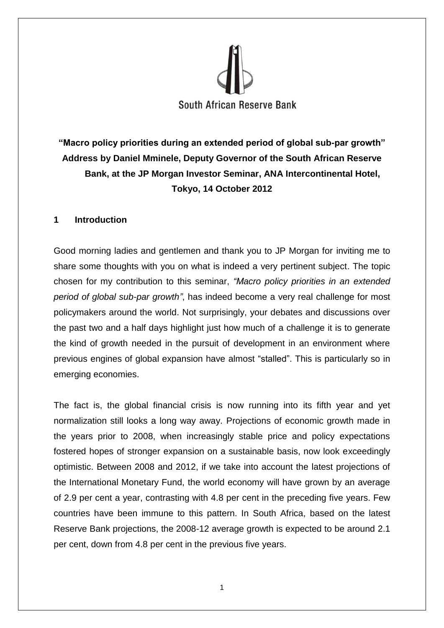

**"Macro policy priorities during an extended period of global sub-par growth" Address by Daniel Mminele, Deputy Governor of the South African Reserve Bank, at the JP Morgan Investor Seminar, ANA Intercontinental Hotel, Tokyo, 14 October 2012**

# **1 Introduction**

Good morning ladies and gentlemen and thank you to JP Morgan for inviting me to share some thoughts with you on what is indeed a very pertinent subject. The topic chosen for my contribution to this seminar, *"Macro policy priorities in an extended period of global sub-par growth"*, has indeed become a very real challenge for most policymakers around the world. Not surprisingly, your debates and discussions over the past two and a half days highlight just how much of a challenge it is to generate the kind of growth needed in the pursuit of development in an environment where previous engines of global expansion have almost "stalled". This is particularly so in emerging economies.

The fact is, the global financial crisis is now running into its fifth year and yet normalization still looks a long way away. Projections of economic growth made in the years prior to 2008, when increasingly stable price and policy expectations fostered hopes of stronger expansion on a sustainable basis, now look exceedingly optimistic. Between 2008 and 2012, if we take into account the latest projections of the International Monetary Fund, the world economy will have grown by an average of 2.9 per cent a year, contrasting with 4.8 per cent in the preceding five years. Few countries have been immune to this pattern. In South Africa, based on the latest Reserve Bank projections, the 2008-12 average growth is expected to be around 2.1 per cent, down from 4.8 per cent in the previous five years.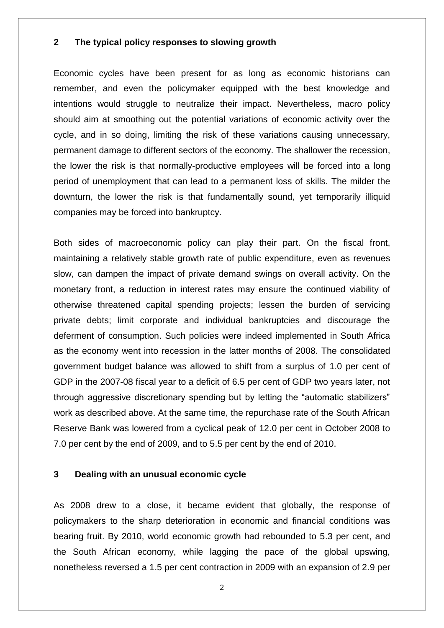## **2 The typical policy responses to slowing growth**

Economic cycles have been present for as long as economic historians can remember, and even the policymaker equipped with the best knowledge and intentions would struggle to neutralize their impact. Nevertheless, macro policy should aim at smoothing out the potential variations of economic activity over the cycle, and in so doing, limiting the risk of these variations causing unnecessary, permanent damage to different sectors of the economy. The shallower the recession, the lower the risk is that normally-productive employees will be forced into a long period of unemployment that can lead to a permanent loss of skills. The milder the downturn, the lower the risk is that fundamentally sound, yet temporarily illiquid companies may be forced into bankruptcy.

Both sides of macroeconomic policy can play their part. On the fiscal front, maintaining a relatively stable growth rate of public expenditure, even as revenues slow, can dampen the impact of private demand swings on overall activity. On the monetary front, a reduction in interest rates may ensure the continued viability of otherwise threatened capital spending projects; lessen the burden of servicing private debts; limit corporate and individual bankruptcies and discourage the deferment of consumption. Such policies were indeed implemented in South Africa as the economy went into recession in the latter months of 2008. The consolidated government budget balance was allowed to shift from a surplus of 1.0 per cent of GDP in the 2007-08 fiscal year to a deficit of 6.5 per cent of GDP two years later, not through aggressive discretionary spending but by letting the "automatic stabilizers" work as described above. At the same time, the repurchase rate of the South African Reserve Bank was lowered from a cyclical peak of 12.0 per cent in October 2008 to 7.0 per cent by the end of 2009, and to 5.5 per cent by the end of 2010.

#### **3 Dealing with an unusual economic cycle**

As 2008 drew to a close, it became evident that globally, the response of policymakers to the sharp deterioration in economic and financial conditions was bearing fruit. By 2010, world economic growth had rebounded to 5.3 per cent, and the South African economy, while lagging the pace of the global upswing, nonetheless reversed a 1.5 per cent contraction in 2009 with an expansion of 2.9 per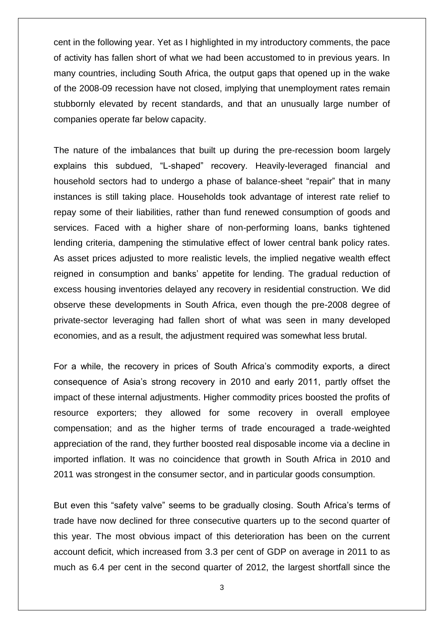cent in the following year. Yet as I highlighted in my introductory comments, the pace of activity has fallen short of what we had been accustomed to in previous years. In many countries, including South Africa, the output gaps that opened up in the wake of the 2008-09 recession have not closed, implying that unemployment rates remain stubbornly elevated by recent standards, and that an unusually large number of companies operate far below capacity.

The nature of the imbalances that built up during the pre-recession boom largely explains this subdued, "L-shaped" recovery. Heavily-leveraged financial and household sectors had to undergo a phase of balance-sheet "repair" that in many instances is still taking place. Households took advantage of interest rate relief to repay some of their liabilities, rather than fund renewed consumption of goods and services. Faced with a higher share of non-performing loans, banks tightened lending criteria, dampening the stimulative effect of lower central bank policy rates. As asset prices adjusted to more realistic levels, the implied negative wealth effect reigned in consumption and banks' appetite for lending. The gradual reduction of excess housing inventories delayed any recovery in residential construction. We did observe these developments in South Africa, even though the pre-2008 degree of private-sector leveraging had fallen short of what was seen in many developed economies, and as a result, the adjustment required was somewhat less brutal.

For a while, the recovery in prices of South Africa's commodity exports, a direct consequence of Asia's strong recovery in 2010 and early 2011, partly offset the impact of these internal adjustments. Higher commodity prices boosted the profits of resource exporters; they allowed for some recovery in overall employee compensation; and as the higher terms of trade encouraged a trade-weighted appreciation of the rand, they further boosted real disposable income via a decline in imported inflation. It was no coincidence that growth in South Africa in 2010 and 2011 was strongest in the consumer sector, and in particular goods consumption.

But even this "safety valve" seems to be gradually closing. South Africa's terms of trade have now declined for three consecutive quarters up to the second quarter of this year. The most obvious impact of this deterioration has been on the current account deficit, which increased from 3.3 per cent of GDP on average in 2011 to as much as 6.4 per cent in the second quarter of 2012, the largest shortfall since the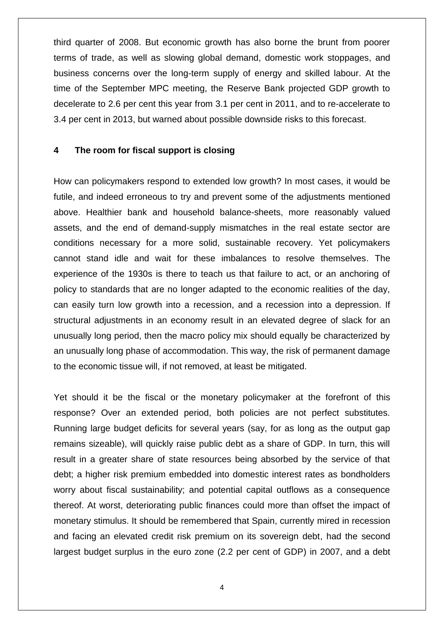third quarter of 2008. But economic growth has also borne the brunt from poorer terms of trade, as well as slowing global demand, domestic work stoppages, and business concerns over the long-term supply of energy and skilled labour. At the time of the September MPC meeting, the Reserve Bank projected GDP growth to decelerate to 2.6 per cent this year from 3.1 per cent in 2011, and to re-accelerate to 3.4 per cent in 2013, but warned about possible downside risks to this forecast.

### **4 The room for fiscal support is closing**

How can policymakers respond to extended low growth? In most cases, it would be futile, and indeed erroneous to try and prevent some of the adjustments mentioned above. Healthier bank and household balance-sheets, more reasonably valued assets, and the end of demand-supply mismatches in the real estate sector are conditions necessary for a more solid, sustainable recovery. Yet policymakers cannot stand idle and wait for these imbalances to resolve themselves. The experience of the 1930s is there to teach us that failure to act, or an anchoring of policy to standards that are no longer adapted to the economic realities of the day, can easily turn low growth into a recession, and a recession into a depression. If structural adjustments in an economy result in an elevated degree of slack for an unusually long period, then the macro policy mix should equally be characterized by an unusually long phase of accommodation. This way, the risk of permanent damage to the economic tissue will, if not removed, at least be mitigated.

Yet should it be the fiscal or the monetary policymaker at the forefront of this response? Over an extended period, both policies are not perfect substitutes. Running large budget deficits for several years (say, for as long as the output gap remains sizeable), will quickly raise public debt as a share of GDP. In turn, this will result in a greater share of state resources being absorbed by the service of that debt; a higher risk premium embedded into domestic interest rates as bondholders worry about fiscal sustainability; and potential capital outflows as a consequence thereof. At worst, deteriorating public finances could more than offset the impact of monetary stimulus. It should be remembered that Spain, currently mired in recession and facing an elevated credit risk premium on its sovereign debt, had the second largest budget surplus in the euro zone (2.2 per cent of GDP) in 2007, and a debt

4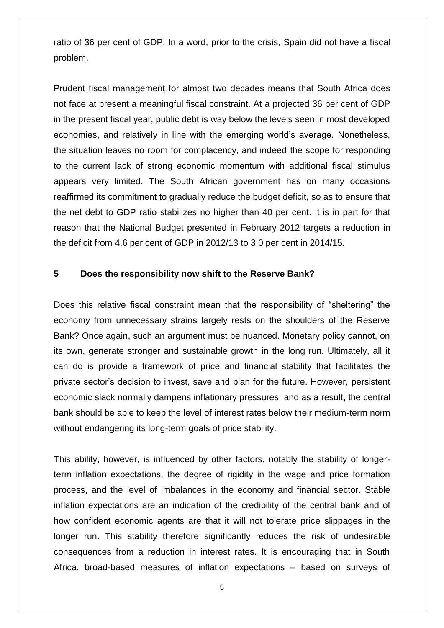ratio of 36 per cent of GDP. In a word, prior to the crisis, Spain did not have a fiscal problem.

Prudent fiscal management for almost two decades means that South Africa does not face at present a meaningful fiscal constraint. At a projected 36 per cent of GDP in the present fiscal year, public debt is way below the levels seen in most developed economies, and relatively in line with the emerging world's average. Nonetheless, the situation leaves no room for complacency, and indeed the scope for responding to the current lack of strong economic momentum with additional fiscal stimulus appears very limited. The South African government has on many occasions reaffirmed its commitment to gradually reduce the budget deficit, so as to ensure that the net debt to GDP ratio stabilizes no higher than 40 per cent. It is in part for that reason that the National Budget presented in February 2012 targets a reduction in the deficit from 4.6 per cent of GDP in 2012/13 to 3.0 per cent in 2014/15.

## **5 Does the responsibility now shift to the Reserve Bank?**

Does this relative fiscal constraint mean that the responsibility of "sheltering" the economy from unnecessary strains largely rests on the shoulders of the Reserve Bank? Once again, such an argument must be nuanced. Monetary policy cannot, on its own, generate stronger and sustainable growth in the long run. Ultimately, all it can do is provide a framework of price and financial stability that facilitates the private sector's decision to invest, save and plan for the future. However, persistent economic slack normally dampens inflationary pressures, and as a result, the central bank should be able to keep the level of interest rates below their medium-term norm without endangering its long-term goals of price stability.

This ability, however, is influenced by other factors, notably the stability of longerterm inflation expectations, the degree of rigidity in the wage and price formation process, and the level of imbalances in the economy and financial sector. Stable inflation expectations are an indication of the credibility of the central bank and of how confident economic agents are that it will not tolerate price slippages in the longer run. This stability therefore significantly reduces the risk of undesirable consequences from a reduction in interest rates. It is encouraging that in South Africa, broad-based measures of inflation expectations – based on surveys of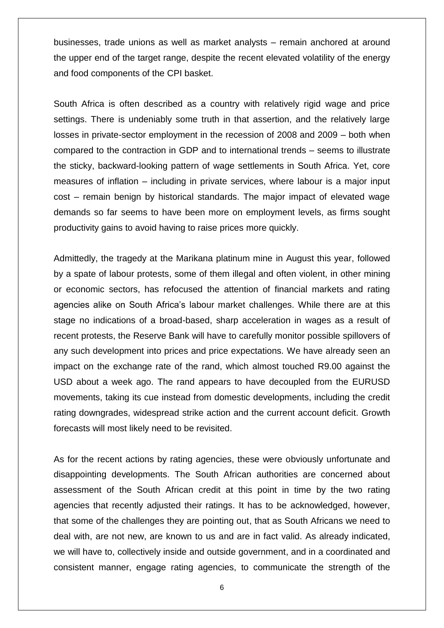businesses, trade unions as well as market analysts – remain anchored at around the upper end of the target range, despite the recent elevated volatility of the energy and food components of the CPI basket.

South Africa is often described as a country with relatively rigid wage and price settings. There is undeniably some truth in that assertion, and the relatively large losses in private-sector employment in the recession of 2008 and 2009 – both when compared to the contraction in GDP and to international trends – seems to illustrate the sticky, backward-looking pattern of wage settlements in South Africa. Yet, core measures of inflation – including in private services, where labour is a major input cost – remain benign by historical standards. The major impact of elevated wage demands so far seems to have been more on employment levels, as firms sought productivity gains to avoid having to raise prices more quickly.

Admittedly, the tragedy at the Marikana platinum mine in August this year, followed by a spate of labour protests, some of them illegal and often violent, in other mining or economic sectors, has refocused the attention of financial markets and rating agencies alike on South Africa's labour market challenges. While there are at this stage no indications of a broad-based, sharp acceleration in wages as a result of recent protests, the Reserve Bank will have to carefully monitor possible spillovers of any such development into prices and price expectations. We have already seen an impact on the exchange rate of the rand, which almost touched R9.00 against the USD about a week ago. The rand appears to have decoupled from the EURUSD movements, taking its cue instead from domestic developments, including the credit rating downgrades, widespread strike action and the current account deficit. Growth forecasts will most likely need to be revisited.

As for the recent actions by rating agencies, these were obviously unfortunate and disappointing developments. The South African authorities are concerned about assessment of the South African credit at this point in time by the two rating agencies that recently adjusted their ratings. It has to be acknowledged, however, that some of the challenges they are pointing out, that as South Africans we need to deal with, are not new, are known to us and are in fact valid. As already indicated, we will have to, collectively inside and outside government, and in a coordinated and consistent manner, engage rating agencies, to communicate the strength of the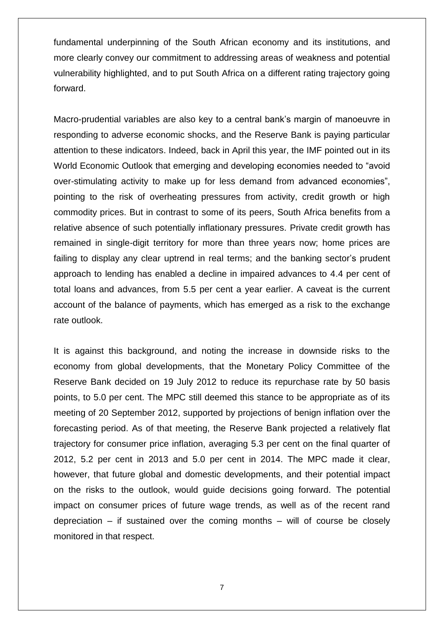fundamental underpinning of the South African economy and its institutions, and more clearly convey our commitment to addressing areas of weakness and potential vulnerability highlighted, and to put South Africa on a different rating trajectory going forward.

Macro-prudential variables are also key to a central bank's margin of manoeuvre in responding to adverse economic shocks, and the Reserve Bank is paying particular attention to these indicators. Indeed, back in April this year, the IMF pointed out in its World Economic Outlook that emerging and developing economies needed to "avoid over-stimulating activity to make up for less demand from advanced economies", pointing to the risk of overheating pressures from activity, credit growth or high commodity prices. But in contrast to some of its peers, South Africa benefits from a relative absence of such potentially inflationary pressures. Private credit growth has remained in single-digit territory for more than three years now; home prices are failing to display any clear uptrend in real terms; and the banking sector's prudent approach to lending has enabled a decline in impaired advances to 4.4 per cent of total loans and advances, from 5.5 per cent a year earlier. A caveat is the current account of the balance of payments, which has emerged as a risk to the exchange rate outlook.

It is against this background, and noting the increase in downside risks to the economy from global developments, that the Monetary Policy Committee of the Reserve Bank decided on 19 July 2012 to reduce its repurchase rate by 50 basis points, to 5.0 per cent. The MPC still deemed this stance to be appropriate as of its meeting of 20 September 2012, supported by projections of benign inflation over the forecasting period. As of that meeting, the Reserve Bank projected a relatively flat trajectory for consumer price inflation, averaging 5.3 per cent on the final quarter of 2012, 5.2 per cent in 2013 and 5.0 per cent in 2014. The MPC made it clear, however, that future global and domestic developments, and their potential impact on the risks to the outlook, would guide decisions going forward. The potential impact on consumer prices of future wage trends, as well as of the recent rand depreciation – if sustained over the coming months – will of course be closely monitored in that respect.